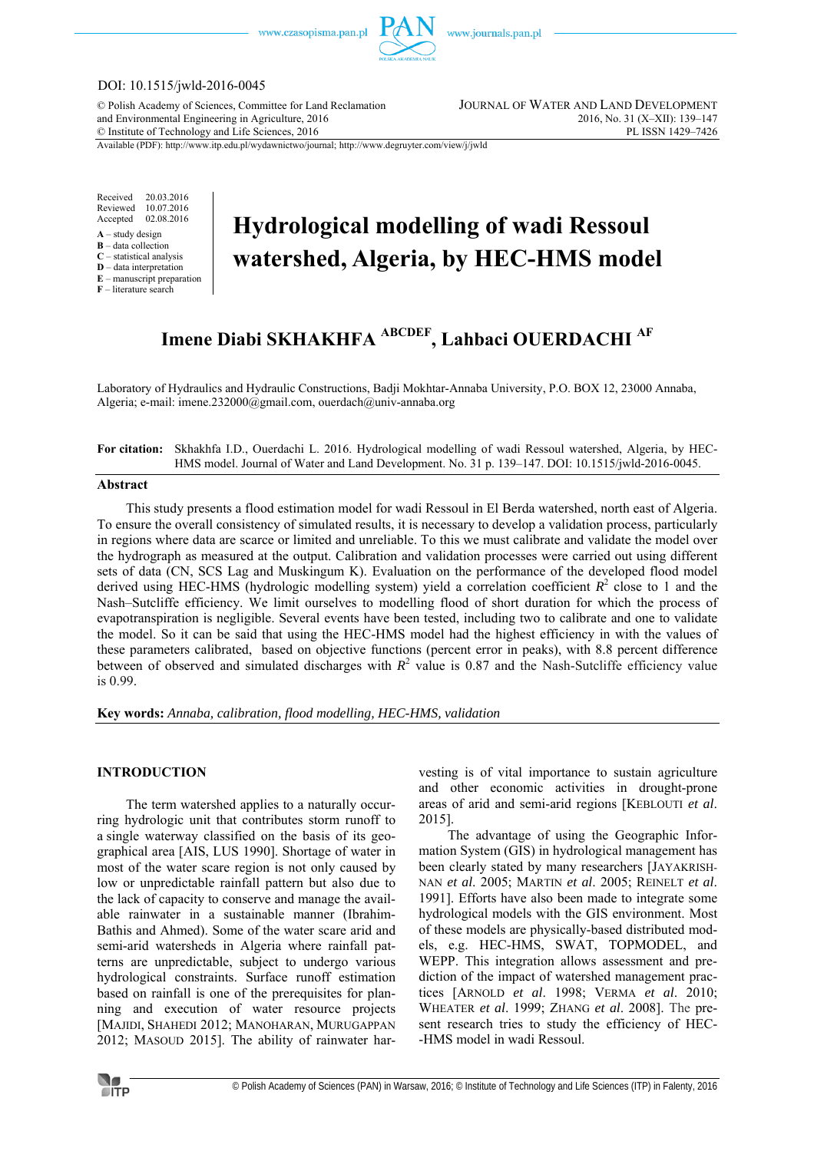

# DOI: 10.1515/jwld-2016-0045

© Polish Academy of Sciences, Committee for Land Reclamation JOURNAL OF WATER AND LAND DEVELOPMENT and Environmental Engineering in Agriculture, 2016 2016 2016, No. 31 (X–XII): 139–147<br>
© Institute of Technology and Life Sciences, 2016  $©$  Institute of Technology and Life Sciences, 2016

Available (PDF): http://www.itp.edu.pl/wydawnictwo/journal; http://www.degruyter.com/view/j/jwld

Received 20.03.2016 Reviewed 10.07.2016<br>Accepted 02.08.2016 02.08.2016

- **A** study design
- **B** data collection
- **C** statistical analysis **D** – data interpretation
- **E** manuscript preparation

**F** – literature search

# **Hydrological modelling of wadi Ressoul watershed, Algeria, by HEC-HMS model**

# **Imene Diabi SKHAKHFA ABCDEF, Lahbaci OUERDACHI AF**

Laboratory of Hydraulics and Hydraulic Constructions, Badji Mokhtar-Annaba University, P.O. BOX 12, 23000 Annaba, Algeria; e-mail: imene.232000@gmail.com, ouerdach@univ-annaba.org

**For citation:** Skhakhfa I.D., Ouerdachi L. 2016. Hydrological modelling of wadi Ressoul watershed, Algeria, by HEC-HMS model. Journal of Water and Land Development. No. 31 p. 139–147. DOI: 10.1515/jwld-2016-0045.

## **Abstract**

This study presents a flood estimation model for wadi Ressoul in El Berda watershed, north east of Algeria. To ensure the overall consistency of simulated results, it is necessary to develop a validation process, particularly in regions where data are scarce or limited and unreliable. To this we must calibrate and validate the model over the hydrograph as measured at the output. Calibration and validation processes were carried out using different sets of data (CN, SCS Lag and Muskingum K). Evaluation on the performance of the developed flood model derived using HEC-HMS (hydrologic modelling system) yield a correlation coefficient  $R^2$  close to 1 and the Nash–Sutcliffe efficiency. We limit ourselves to modelling flood of short duration for which the process of evapotranspiration is negligible. Several events have been tested, including two to calibrate and one to validate the model. So it can be said that using the HEC-HMS model had the highest efficiency in with the values of these parameters calibrated, based on objective functions (percent error in peaks), with 8.8 percent difference between of observed and simulated discharges with  $R^2$  value is 0.87 and the Nash-Sutcliffe efficiency value is 0.99.

**Key words:** *Annaba, calibration, flood modelling, HEC-HMS, validation* 

# **INTRODUCTION**

The term watershed applies to a naturally occurring hydrologic unit that contributes storm runoff to a single waterway classified on the basis of its geographical area [AIS, LUS 1990]. Shortage of water in most of the water scare region is not only caused by low or unpredictable rainfall pattern but also due to the lack of capacity to conserve and manage the available rainwater in a sustainable manner (Ibrahim-Bathis and Ahmed). Some of the water scare arid and semi-arid watersheds in Algeria where rainfall patterns are unpredictable, subject to undergo various hydrological constraints. Surface runoff estimation based on rainfall is one of the prerequisites for planning and execution of water resource projects [MAJIDI, SHAHEDI 2012; MANOHARAN, MURUGAPPAN 2012; MASOUD 2015]. The ability of rainwater harvesting is of vital importance to sustain agriculture and other economic activities in drought-prone areas of arid and semi-arid regions [KEBLOUTI *et al*. 2015].

The advantage of using the Geographic Information System (GIS) in hydrological management has been clearly stated by many researchers [JAYAKRISH-NAN *et al*. 2005; MARTIN *et al*. 2005; REINELT *et al*. 1991]. Efforts have also been made to integrate some hydrological models with the GIS environment. Most of these models are physically-based distributed models, e.g. HEC-HMS, SWAT, TOPMODEL, and WEPP. This integration allows assessment and prediction of the impact of watershed management practices [ARNOLD *et al*. 1998; VERMA *et al*. 2010; WHEATER *et al*. 1999; ZHANG *et al*. 2008]. The present research tries to study the efficiency of HEC- -HMS model in wadi Ressoul.

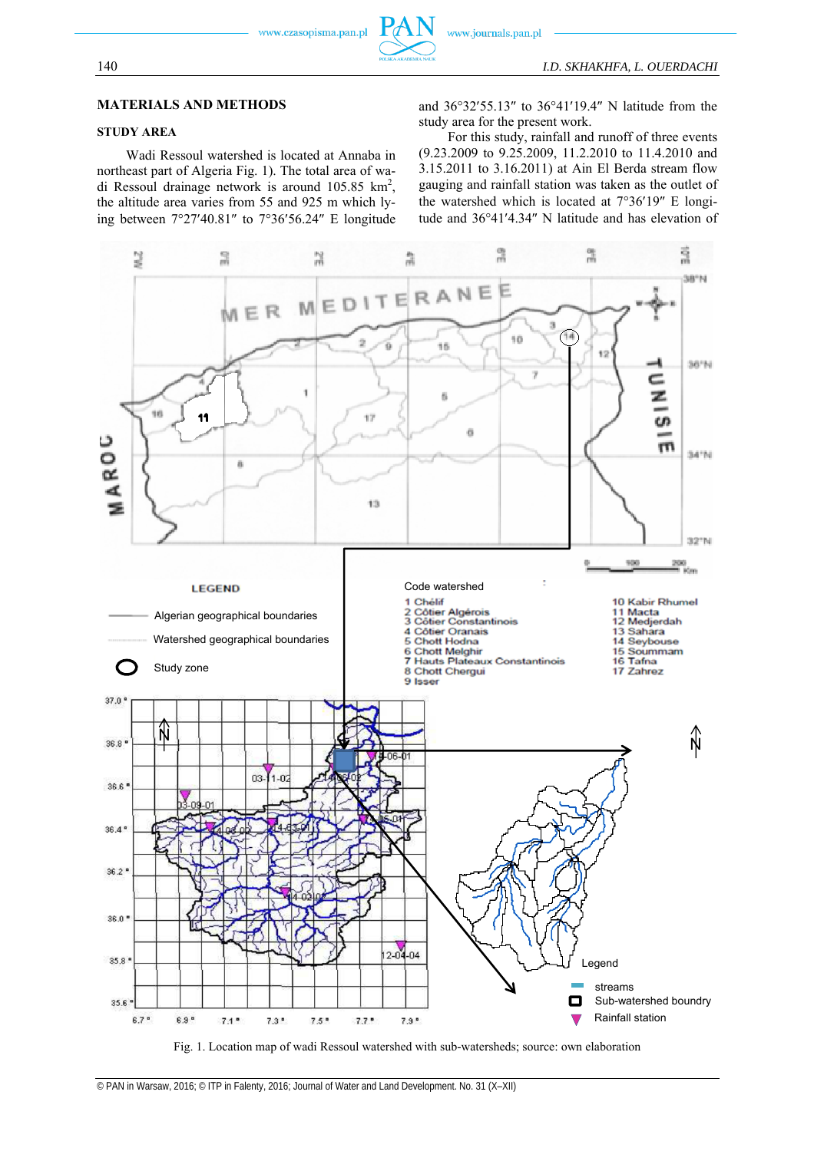## **MATERIALS AND METHODS**

# **STUDY AREA**

Wadi Ressoul watershed is located at Annaba in northeast part of Algeria Fig. 1). The total area of wadi Ressoul drainage network is around  $105.85 \text{ km}^2$ , the altitude area varies from 55 and 925 m which lying between  $7^{\circ}27'40.81''$  to  $7^{\circ}36'56.24''$  E longitude

and  $36^{\circ}32'55.13''$  to  $36^{\circ}41'19.4''$  N latitude from the study area for the present work.

For this study, rainfall and runoff of three events (9.23.2009 to 9.25.2009, 11.2.2010 to 11.4.2010 and 3.15.2011 to 3.16.2011) at Ain El Berda stream flow gauging and rainfall station was taken as the outlet of the watershed which is located at  $7^{\circ}36'19''$  E longitude and 36°41'4.34" N latitude and has elevation of



Fig. 1. Location map of wadi Ressoul watershed with sub-watersheds; source: own elaboration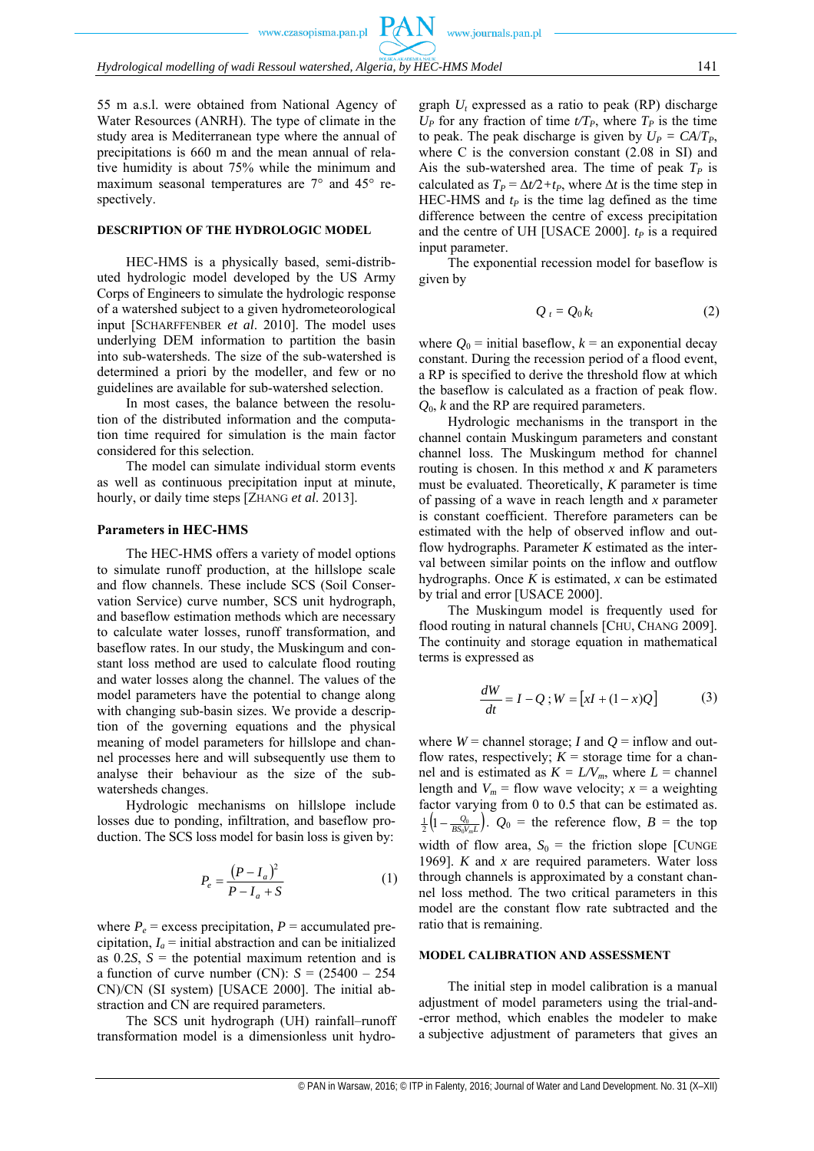55 m a.s.l. were obtained from National Agency of Water Resources (ANRH). The type of climate in the study area is Mediterranean type where the annual of precipitations is 660 m and the mean annual of relative humidity is about 75% while the minimum and maximum seasonal temperatures are 7° and 45° respectively.

#### **DESCRIPTION OF THE HYDROLOGIC MODEL**

HEC-HMS is a physically based, semi-distributed hydrologic model developed by the US Army Corps of Engineers to simulate the hydrologic response of a watershed subject to a given hydrometeorological input [SCHARFFENBER *et al*. 2010]. The model uses underlying DEM information to partition the basin into sub-watersheds. The size of the sub-watershed is determined a priori by the modeller, and few or no guidelines are available for sub-watershed selection.

In most cases, the balance between the resolution of the distributed information and the computation time required for simulation is the main factor considered for this selection.

The model can simulate individual storm events as well as continuous precipitation input at minute, hourly, or daily time steps [ZHANG *et al*. 2013].

# **Parameters in HEC-HMS**

The HEC-HMS offers a variety of model options to simulate runoff production, at the hillslope scale and flow channels. These include SCS (Soil Conservation Service) curve number, SCS unit hydrograph, and baseflow estimation methods which are necessary to calculate water losses, runoff transformation, and baseflow rates. In our study, the Muskingum and constant loss method are used to calculate flood routing and water losses along the channel. The values of the model parameters have the potential to change along with changing sub-basin sizes. We provide a description of the governing equations and the physical meaning of model parameters for hillslope and channel processes here and will subsequently use them to analyse their behaviour as the size of the subwatersheds changes.

Hydrologic mechanisms on hillslope include losses due to ponding, infiltration, and baseflow production. The SCS loss model for basin loss is given by:

$$
P_e = \frac{(P - I_a)^2}{P - I_a + S} \tag{1}
$$

where  $P_e$  = excess precipitation,  $P =$  accumulated precipitation,  $I_a$  = initial abstraction and can be initialized as  $0.2S$ ,  $S =$  the potential maximum retention and is a function of curve number (CN):  $S = (25400 - 254)$ CN)/CN (SI system) [USACE 2000]. The initial abstraction and CN are required parameters.

The SCS unit hydrograph (UH) rainfall–runoff transformation model is a dimensionless unit hydrograph  $U_t$  expressed as a ratio to peak (RP) discharge  $U_P$  for any fraction of time  $t/T_P$ , where  $T_P$  is the time to peak. The peak discharge is given by  $U_P = CA/T_P$ , where C is the conversion constant (2.08 in SI) and Ais the sub-watershed area. The time of peak  $T_p$  is calculated as  $T_P = \Delta t/2 + t_P$ , where  $\Delta t$  is the time step in HEC-HMS and  $t_P$  is the time lag defined as the time difference between the centre of excess precipitation and the centre of UH [USACE 2000].  $t_p$  is a required input parameter.

www.journals.pan.pl

The exponential recession model for baseflow is given by

$$
Q_t = Q_0 k_t \tag{2}
$$

where  $Q_0$  = initial baseflow,  $k$  = an exponential decay constant. During the recession period of a flood event, a RP is specified to derive the threshold flow at which the baseflow is calculated as a fraction of peak flow. *Q*0, *k* and the RP are required parameters.

Hydrologic mechanisms in the transport in the channel contain Muskingum parameters and constant channel loss. The Muskingum method for channel routing is chosen. In this method *x* and *K* parameters must be evaluated. Theoretically, *K* parameter is time of passing of a wave in reach length and *x* parameter is constant coefficient. Therefore parameters can be estimated with the help of observed inflow and outflow hydrographs. Parameter *K* estimated as the interval between similar points on the inflow and outflow hydrographs. Once *K* is estimated, *x* can be estimated by trial and error [USACE 2000].

The Muskingum model is frequently used for flood routing in natural channels [CHU, CHANG 2009]. The continuity and storage equation in mathematical terms is expressed as

$$
\frac{dW}{dt} = I - Q; W = [xI + (1 - x)Q]
$$
 (3)

where  $W =$  channel storage; *I* and  $Q =$  inflow and outflow rates, respectively;  $K =$  storage time for a channel and is estimated as  $K = LV_m$ , where  $L =$  channel length and  $V_m$  = flow wave velocity;  $x = a$  weighting factor varying from 0 to 0.5 that can be estimated as.  $\left(1-\frac{\mathcal{Q}_0}{BS_0V_mL}\right)$  $\frac{1}{2}\left(1-\frac{Q_0}{BS_0V_mL}\right)$ .  $Q_0$  = the reference flow,  $B$  = the top width of flow area,  $S_0$  = the friction slope [CUNGE] 1969]. *K* and *x* are required parameters. Water loss through channels is approximated by a constant channel loss method. The two critical parameters in this model are the constant flow rate subtracted and the ratio that is remaining.

#### **MODEL CALIBRATION AND ASSESSMENT**

The initial step in model calibration is a manual adjustment of model parameters using the trial-and- -error method, which enables the modeler to make a subjective adjustment of parameters that gives an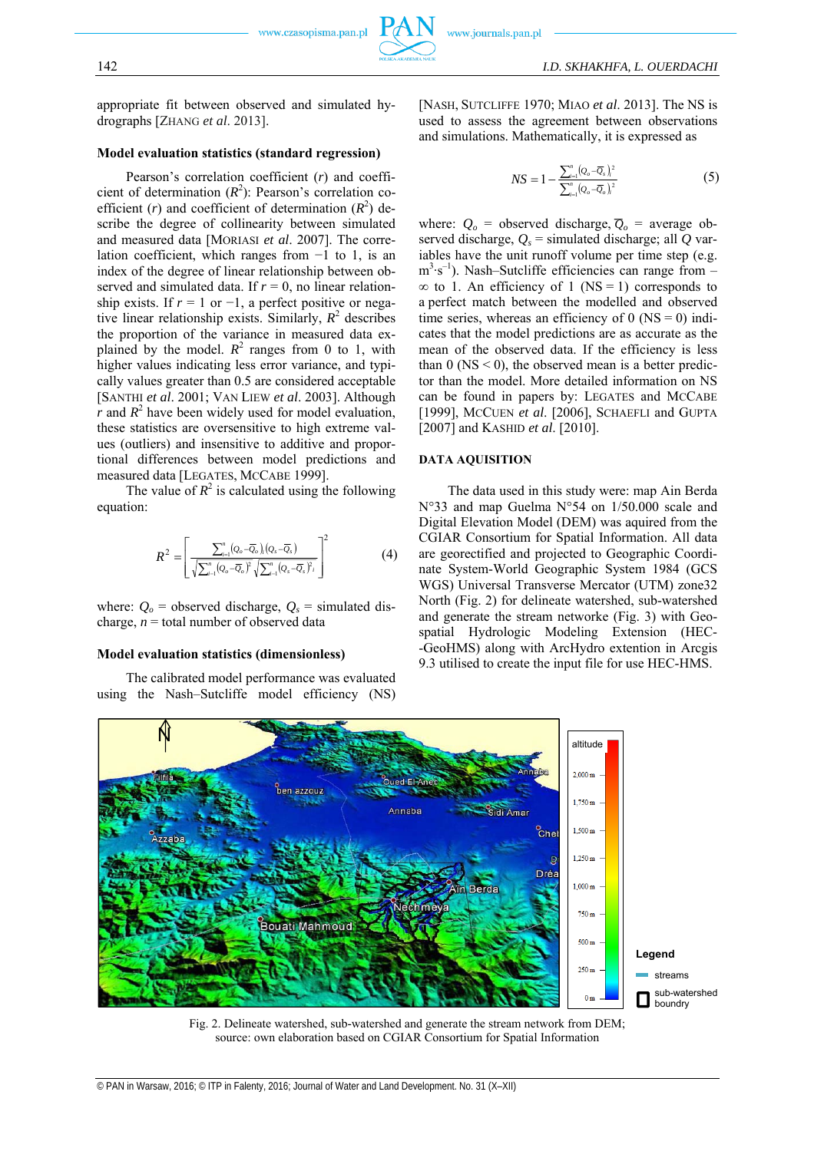appropriate fit between observed and simulated hydrographs [ZHANG *et al*. 2013].

#### **Model evaluation statistics (standard regression)**

Pearson's correlation coefficient (*r*) and coefficient of determination  $(R^2)$ : Pearson's correlation coefficient (*r*) and coefficient of determination  $(R^2)$  describe the degree of collinearity between simulated and measured data [MORIASI *et al*. 2007]. The correlation coefficient, which ranges from −1 to 1, is an index of the degree of linear relationship between observed and simulated data. If  $r = 0$ , no linear relationship exists. If  $r = 1$  or  $-1$ , a perfect positive or negative linear relationship exists. Similarly,  $R^2$  describes the proportion of the variance in measured data explained by the model.  $R^2$  ranges from 0 to 1, with higher values indicating less error variance, and typically values greater than 0.5 are considered acceptable [SANTHI *et al*. 2001; VAN LIEW *et al*. 2003]. Although  $\overline{r}$  and  $\overline{R}^2$  have been widely used for model evaluation, these statistics are oversensitive to high extreme values (outliers) and insensitive to additive and proportional differences between model predictions and measured data [LEGATES, MCCABE 1999].

The value of  $R^2$  is calculated using the following equation:

$$
R^{2} = \left[\frac{\sum_{i=1}^{n} (Q_{o} - \overline{Q}_{o})_{i} (Q_{s} - \overline{Q}_{s})}{\sqrt{\sum_{i=1}^{n} (Q_{o} - \overline{Q}_{o})^{2}} \sqrt{\sum_{i=1}^{n} (Q_{s} - \overline{Q}_{s})^{2}}_{i}}\right]^{2}
$$
(4)

where:  $Q_0$  = observed discharge,  $Q_s$  = simulated discharge,  $n =$  total number of observed data

# **Model evaluation statistics (dimensionless)**

The calibrated model performance was evaluated using the Nash–Sutcliffe model efficiency (NS) [NASH, SUTCLIFFE 1970; MIAO *et al*. 2013]. The NS is used to assess the agreement between observations and simulations. Mathematically, it is expressed as

$$
NS = 1 - \frac{\sum_{i=1}^{n} (Q_o - \overline{Q}_s)_i^2}{\sum_{i=1}^{n} (Q_o - \overline{Q}_o)_i^2}
$$
(5)

where:  $Q_o$  = observed discharge,  $\overline{Q}_o$  = average observed discharge,  $Q_s$  = simulated discharge; all  $\overline{Q}$  variables have the unit runoff volume per time step (e.g. m<sup>3</sup>⋅s<sup>-1</sup>). Nash–Sutcliffe efficiencies can range from –  $\infty$  to 1. An efficiency of 1 (NS = 1) corresponds to a perfect match between the modelled and observed time series, whereas an efficiency of 0 ( $NS = 0$ ) indicates that the model predictions are as accurate as the mean of the observed data. If the efficiency is less than  $0$  (NS  $\leq$  0), the observed mean is a better predictor than the model. More detailed information on NS can be found in papers by: LEGATES and MCCABE [1999], MCCUEN *et al*. [2006], SCHAEFLI and GUPTA [2007] and KASHID *et al*. [2010].

#### **DATA AQUISITION**

The data used in this study were: map Ain Berda N°33 and map Guelma N°54 on 1/50.000 scale and Digital Elevation Model (DEM) was aquired from the CGIAR Consortium for Spatial Information. All data are georectified and projected to Geographic Coordinate System-World Geographic System 1984 (GCS WGS) Universal Transverse Mercator (UTM) zone32 North (Fig. 2) for delineate watershed, sub-watershed and generate the stream networke (Fig. 3) with Geospatial Hydrologic Modeling Extension (HEC- -GeoHMS) along with ArcHydro extention in Arcgis 9.3 utilised to create the input file for use HEC-HMS.



Fig. 2. Delineate watershed, sub-watershed and generate the stream network from DEM; source: own elaboration based on CGIAR Consortium for Spatial Information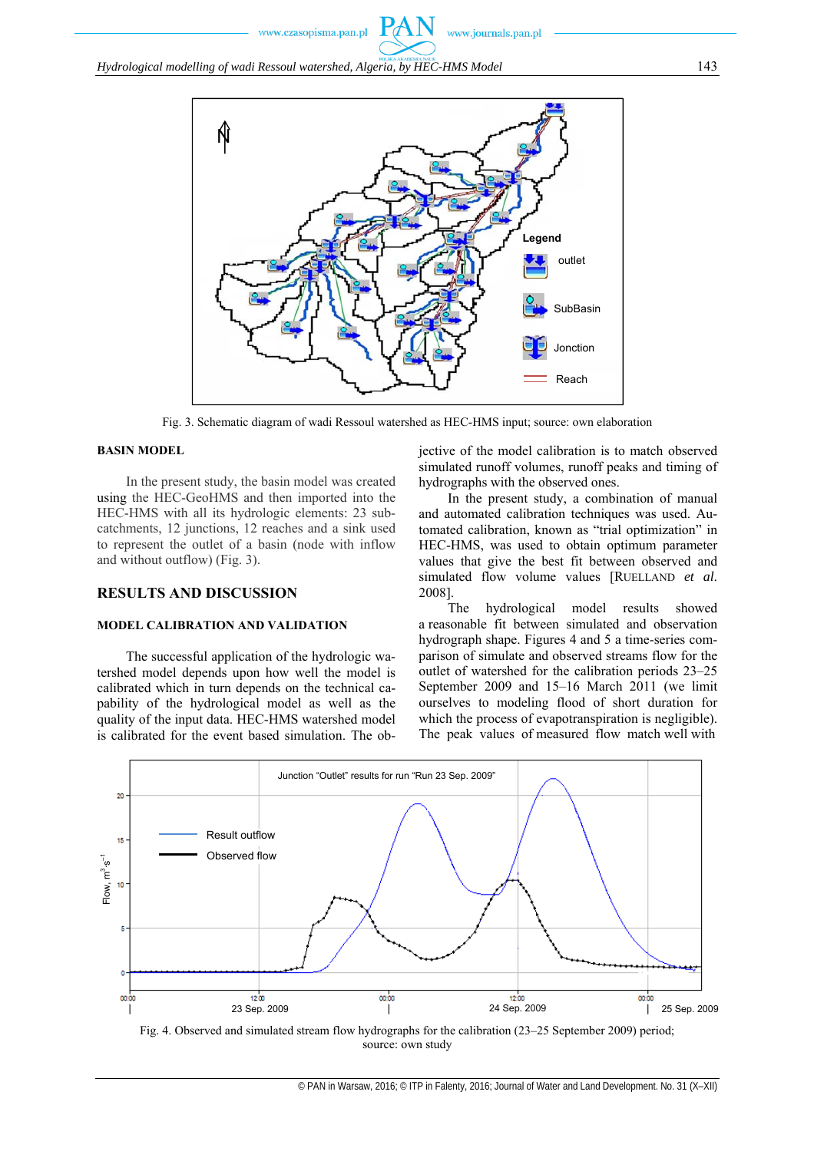

Fig. 3. Schematic diagram of wadi Ressoul watershed as HEC-HMS input; source: own elaboration

#### **BASIN MODEL**

In the present study, the basin model was created using the HEC-GeoHMS and then imported into the HEC-HMS with all its hydrologic elements: 23 subcatchments, 12 junctions, 12 reaches and a sink used to represent the outlet of a basin (node with inflow and without outflow) (Fig. 3).

# **RESULTS AND DISCUSSION**

#### **MODEL CALIBRATION AND VALIDATION**

The successful application of the hydrologic watershed model depends upon how well the model is calibrated which in turn depends on the technical capability of the hydrological model as well as the quality of the input data. HEC-HMS watershed model is calibrated for the event based simulation. The objective of the model calibration is to match observed simulated runoff volumes, runoff peaks and timing of hydrographs with the observed ones.

In the present study, a combination of manual and automated calibration techniques was used. Automated calibration, known as "trial optimization" in HEC-HMS, was used to obtain optimum parameter values that give the best fit between observed and simulated flow volume values [RUELLAND *et al*. 2008].

The hydrological model results showed a reasonable fit between simulated and observation hydrograph shape. Figures 4 and 5 a time-series comparison of simulate and observed streams flow for the outlet of watershed for the calibration periods 23–25 September 2009 and 15–16 March 2011 (we limit ourselves to modeling flood of short duration for which the process of evapotranspiration is negligible). The peak values of measured flow match well with



source: own study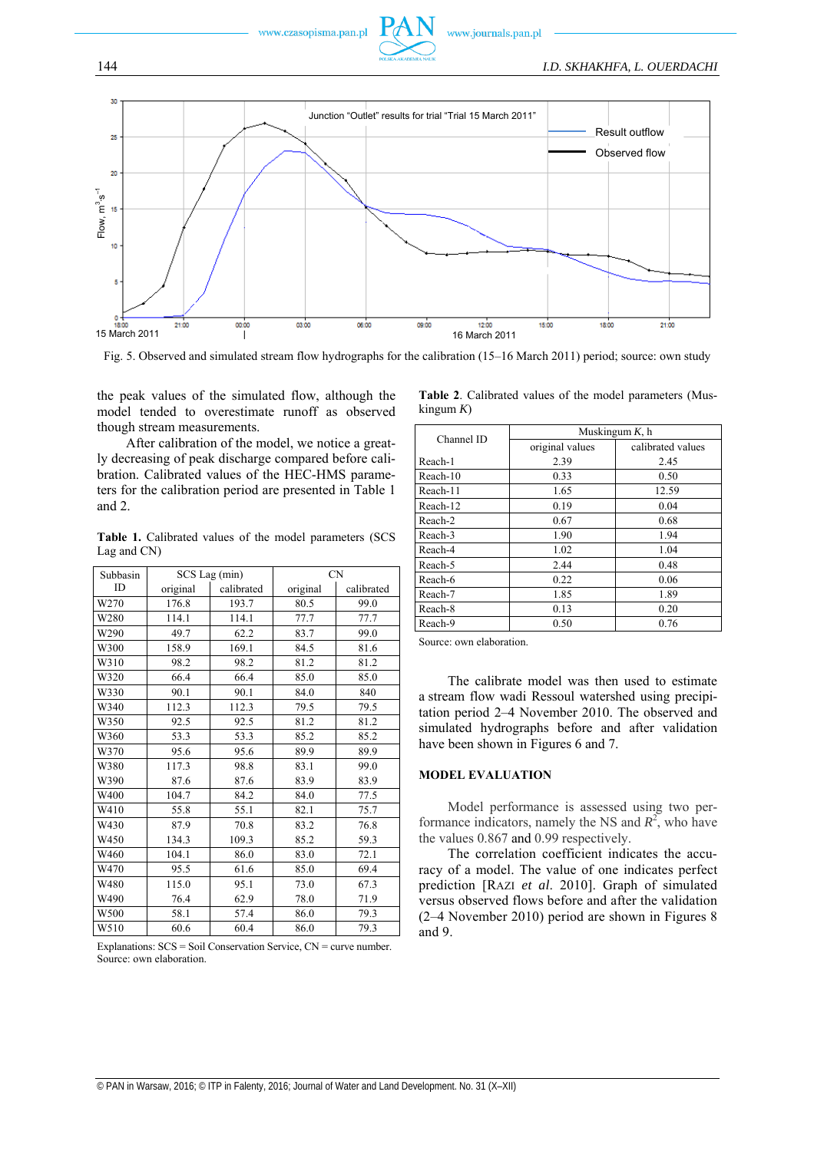



Fig. 5. Observed and simulated stream flow hydrographs for the calibration (15–16 March 2011) period; source: own study

the peak values of the simulated flow, although the model tended to overestimate runoff as observed though stream measurements.

After calibration of the model, we notice a greatly decreasing of peak discharge compared before calibration. Calibrated values of the HEC-HMS parameters for the calibration period are presented in Table 1 and 2.

**Table 1.** Calibrated values of the model parameters (SCS Lag and CN)

| Subbasin |          | SCS Lag (min) | <b>CN</b> |            |  |
|----------|----------|---------------|-----------|------------|--|
| ID       | original | calibrated    | original  | calibrated |  |
| W270     | 176.8    | 193.7         | 80.5      | 99.0       |  |
| W280     | 114.1    | 114.1         | 77.7      | 77.7       |  |
| W290     | 49.7     | 62.2          | 83.7      | 99.0       |  |
| W300     | 158.9    | 169.1         | 84.5      | 81.6       |  |
| W310     | 98.2     | 98.2          | 81.2      | 81.2       |  |
| W320     | 66.4     | 66.4          | 85.0      | 85.0       |  |
| W330     | 90.1     | 90.1          | 84.0      | 840        |  |
| W340     | 112.3    | 112.3         | 79.5      | 79.5       |  |
| W350     | 92.5     | 92.5          | 81.2      | 81.2       |  |
| W360     | 53.3     | 53.3          | 85.2      | 85.2       |  |
| W370     | 95.6     | 95.6          | 89.9      | 89.9       |  |
| W380     | 117.3    | 98.8          | 83.1      | 99.0       |  |
| W390     | 87.6     | 87.6          | 83.9      | 83.9       |  |
| W400     | 104.7    | 84.2          | 84.0      | 77.5       |  |
| W410     | 55.8     | 55.1          | 82.1      | 75.7       |  |
| W430     | 87.9     | 70.8          | 83.2      | 76.8       |  |
| W450     | 134.3    | 109.3         | 85.2      | 59.3       |  |
| W460     | 104.1    | 86.0          | 83.0      | 72.1       |  |
| W470     | 95.5     | 61.6          | 85.0      | 69.4       |  |
| W480     | 115.0    | 95.1          | 73.0      | 67.3       |  |
| W490     | 76.4     | 62.9          | 78.0      | 71.9       |  |
| W500     | 58.1     | 57.4          | 86.0      | 79.3       |  |
| W510     | 60.6     | 60.4          | 86.0      | 79.3       |  |

Explanations: SCS = Soil Conservation Service, CN = curve number. Source: own elaboration.

|                 |  |  | Table 2. Calibrated values of the model parameters (Mus- |  |
|-----------------|--|--|----------------------------------------------------------|--|
| $k$ ingum $K$ ) |  |  |                                                          |  |

| Channel ID | Muskingum $K$ , h |                   |  |  |  |
|------------|-------------------|-------------------|--|--|--|
|            | original values   | calibrated values |  |  |  |
| Reach-1    | 2.39              | 2.45              |  |  |  |
| Reach-10   | 0.33              | 0.50              |  |  |  |
| Reach-11   | 1.65              | 12.59             |  |  |  |
| Reach-12   | 0.19              | 0.04              |  |  |  |
| Reach-2    | 0.67              | 0.68              |  |  |  |
| Reach-3    | 1.90              | 1.94              |  |  |  |
| Reach-4    | 1.02              | 1.04              |  |  |  |
| Reach-5    | 2.44              | 0.48              |  |  |  |
| Reach-6    | 0.22              | 0.06              |  |  |  |
| Reach-7    | 1.85              | 1.89              |  |  |  |
| Reach-8    | 0.13              | 0.20              |  |  |  |
| Reach-9    | 0.50              | 0.76              |  |  |  |

Source: own elaboration.

The calibrate model was then used to estimate a stream flow wadi Ressoul watershed using precipitation period 2–4 November 2010. The observed and simulated hydrographs before and after validation have been shown in Figures 6 and 7.

#### **MODEL EVALUATION**

Model performance is assessed using two performance indicators, namely the NS and  $R^2$ , who have the values 0.867 and 0.99 respectively.

The correlation coefficient indicates the accuracy of a model. The value of one indicates perfect prediction [RAZI *et al*. 2010]. Graph of simulated versus observed flows before and after the validation (2–4 November 2010) period are shown in Figures 8 and 9.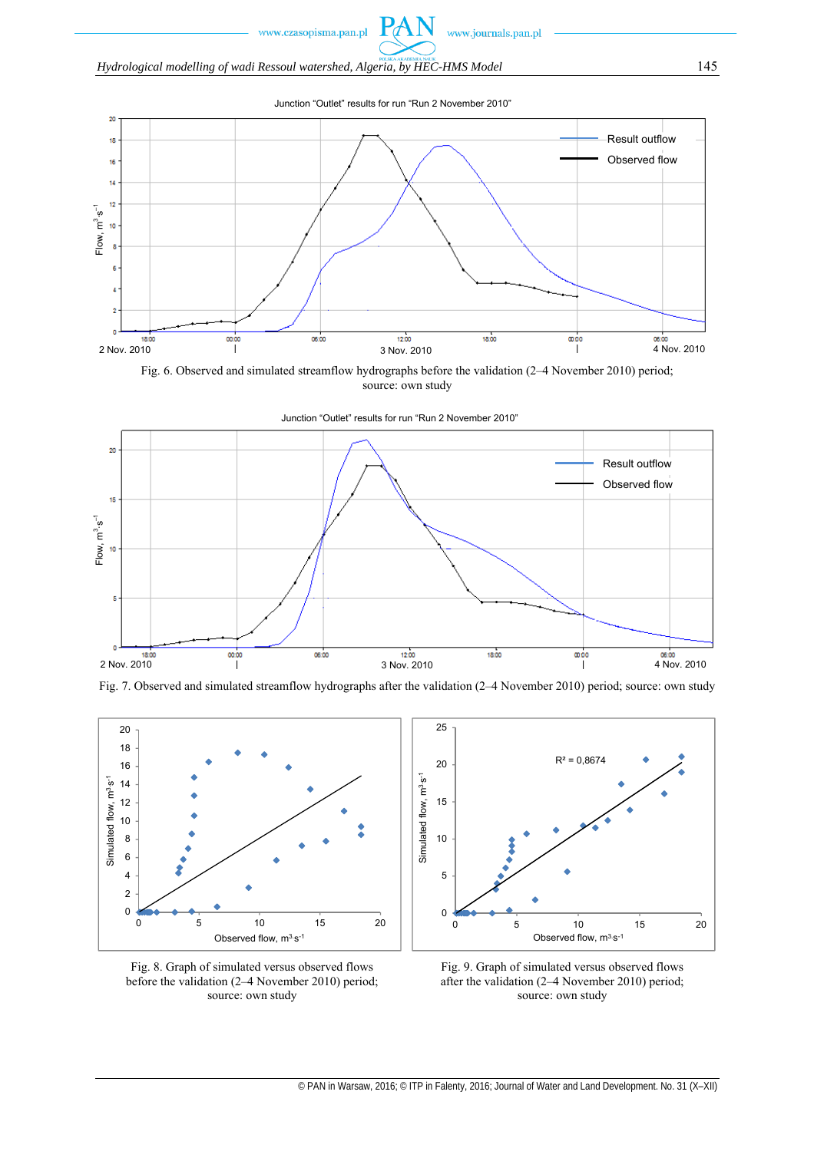*Hydrological modelling of wadi Ressoul watershed, Algeria, by HEC-HMS Model* 145



 $P_d$ 

Fig. 6. Observed and simulated streamflow hydrographs before the validation (2–4 November 2010) period; source: own study





Fig. 7. Observed and simulated streamflow hydrographs after the validation (2–4 November 2010) period; source: own study



Fig. 8. Graph of simulated versus observed flows before the validation (2–4 November 2010) period; source: own study



Fig. 9. Graph of simulated versus observed flows after the validation (2–4 November 2010) period; source: own study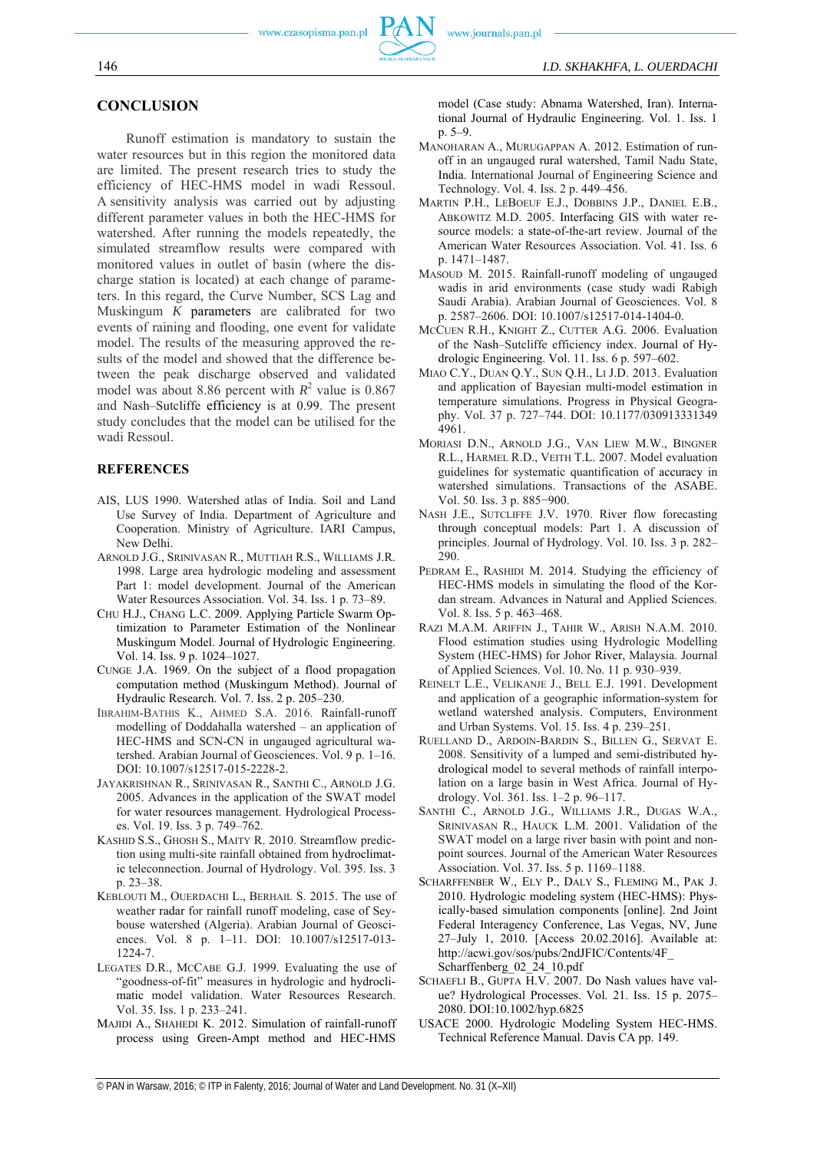#### **CONCLUSION**

Runoff estimation is mandatory to sustain the water resources but in this region the monitored data are limited. The present research tries to study the efficiency of HEC-HMS model in wadi Ressoul. A sensitivity analysis was carried out by adjusting different parameter values in both the HEC-HMS for watershed. After running the models repeatedly, the simulated streamflow results were compared with monitored values in outlet of basin (where the discharge station is located) at each change of parameters. In this regard, the Curve Number, SCS Lag and Muskingum *K* parameters are calibrated for two events of raining and flooding, one event for validate model. The results of the measuring approved the results of the model and showed that the difference between the peak discharge observed and validated model was about 8.86 percent with  $R^2$  value is 0.867 and Nash–Sutcliffe efficiency is at 0.99. The present study concludes that the model can be utilised for the wadi Ressoul.

#### **REFERENCES**

- AIS, LUS 1990. Watershed atlas of India. Soil and Land Use Survey of India. Department of Agriculture and Cooperation. Ministry of Agriculture. IARI Campus, New Delhi.
- ARNOLD J.G., SRINIVASAN R., MUTTIAH R.S., WILLIAMS J.R. 1998. Large area hydrologic modeling and assessment Part 1: model development. Journal of the American Water Resources Association. Vol. 34. Iss. 1 p. 73–89.
- CHU H.J., CHANG L.C. 2009. Applying Particle Swarm Optimization to Parameter Estimation of the Nonlinear Muskingum Model. Journal of Hydrologic Engineering. Vol. 14. Iss. 9 p. 1024–1027.
- CUNGE J.A. 1969. On the subject of a flood propagation computation method (Muskingum Method). Journal of Hydraulic Research. Vol. 7. Iss. 2 p. 205–230.
- IBRAHIM-BATHIS K., AHMED S.A. 2016. Rainfall-runoff modelling of Doddahalla watershed – an application of HEC-HMS and SCN-CN in ungauged agricultural watershed. Arabian Journal of Geosciences. Vol. 9 p. 1–16. DOI: 10.1007/s12517-015-2228-2.
- JAYAKRISHNAN R., SRINIVASAN R., SANTHI C., ARNOLD J.G. 2005. Advances in the application of the SWAT model for water resources management. Hydrological Processes. Vol. 19. Iss. 3 p. 749–762.
- KASHID S.S., GHOSH S., MAITY R. 2010. Streamflow prediction using multi-site rainfall obtained from hydroclimatic teleconnection. Journal of Hydrology. Vol. 395. Iss. 3 p. 23–38.
- KEBLOUTI M., OUERDACHI L., BERHAIL S. 2015. The use of weather radar for rainfall runoff modeling, case of Seybouse watershed (Algeria). Arabian Journal of Geosciences. Vol. 8 p. 1–11. DOI: 10.1007/s12517-013- 1224-7.
- LEGATES D.R., MCCABE G.J. 1999. Evaluating the use of "goodness-of-fit" measures in hydrologic and hydroclimatic model validation. Water Resources Research. Vol. 35. Iss. 1 p. 233–241.
- MAJIDI A., SHAHEDI K. 2012. Simulation of rainfall-runoff process using Green-Ampt method and HEC-HMS

model (Case study: Abnama Watershed, Iran). International Journal of Hydraulic Engineering. Vol. 1. Iss. 1 p. 5–9.

- MANOHARAN A., MURUGAPPAN A. 2012. Estimation of runoff in an ungauged rural watershed, Tamil Nadu State, India. International Journal of Engineering Science and Technology. Vol. 4. Iss. 2 p. 449–456.
- MARTIN P.H., LEBOEUF E.J., DOBBINS J.P., DANIEL E.B., ABKOWITZ M.D. 2005. Interfacing GIS with water resource models: a state-of-the-art review. Journal of the American Water Resources Association. Vol. 41. Iss. 6 p. 1471–1487.
- MASOUD M. 2015. Rainfall-runoff modeling of ungauged wadis in arid environments (case study wadi Rabigh Saudi Arabia). Arabian Journal of Geosciences. Vol. 8 p. 2587–2606. DOI: 10.1007/s12517-014-1404-0.
- MCCUEN R.H., KNIGHT Z., CUTTER A.G. 2006. Evaluation of the Nash–Sutcliffe efficiency index. Journal of Hydrologic Engineering. Vol. 11. Iss. 6 p. 597–602.
- MIAO C.Y., DUAN Q.Y., SUN Q.H., LI J.D. 2013. Evaluation and application of Bayesian multi-model estimation in temperature simulations. Progress in Physical Geography. Vol. 37 p. 727–744. DOI: 10.1177/030913331349 4961.
- MORIASI D.N., ARNOLD J.G., VAN LIEW M.W., BINGNER R.L., HARMEL R.D., VEITH T.L. 2007. Model evaluation guidelines for systematic quantification of accuracy in watershed simulations. Transactions of the ASABE. Vol. 50. Iss. 3 p. 885−900.
- NASH J.E., SUTCLIFFE J.V. 1970. River flow forecasting through conceptual models: Part 1. A discussion of principles. Journal of Hydrology. Vol. 10. Iss. 3 p. 282– 290.
- PEDRAM E., RASHIDI M. 2014. Studying the efficiency of HEC-HMS models in simulating the flood of the Kordan stream. Advances in Natural and Applied Sciences. Vol. 8. Iss. 5 p. 463–468.
- RAZI M.A.M. ARIFFIN J., TAHIR W., ARISH N.A.M. 2010. Flood estimation studies using Hydrologic Modelling System (HEC-HMS) for Johor River, Malaysia. Journal of Applied Sciences. Vol. 10. No. 11 p. 930–939.
- REINELT L.E., VELIKANJE J., BELL E.J. 1991. Development and application of a geographic information-system for wetland watershed analysis. Computers, Environment and Urban Systems. Vol. 15. Iss. 4 p. 239–251.
- RUELLAND D., ARDOIN-BARDIN S., BILLEN G., SERVAT E. 2008. Sensitivity of a lumped and semi-distributed hydrological model to several methods of rainfall interpolation on a large basin in West Africa. Journal of Hydrology. Vol. 361. Iss. 1–2 p. 96–117.
- SANTHI C., ARNOLD J.G., WILLIAMS J.R., DUGAS W.A., SRINIVASAN R., HAUCK L.M. 2001. Validation of the SWAT model on a large river basin with point and nonpoint sources. Journal of the American Water Resources Association. Vol. 37. Iss. 5 p. 1169–1188.
- SCHARFFENBER W., ELY P., DALY S., FLEMING M., PAK J. 2010. Hydrologic modeling system (HEC-HMS): Physically-based simulation components [online]. 2nd Joint Federal Interagency Conference, Las Vegas, NV, June 27–July 1, 2010. [Access 20.02.2016]. Available at: http://acwi.gov/sos/pubs/2ndJFIC/Contents/4F\_ Scharffenberg\_02\_24\_10.pdf
- SCHAEFLI B., GUPTA H.V. 2007. Do Nash values have value? Hydrological Processes. Vol. 21. Iss. 15 p. 2075– 2080. DOI:10.1002/hyp.6825
- USACE 2000. Hydrologic Modeling System HEC-HMS. Technical Reference Manual. Davis CA pp. 149.